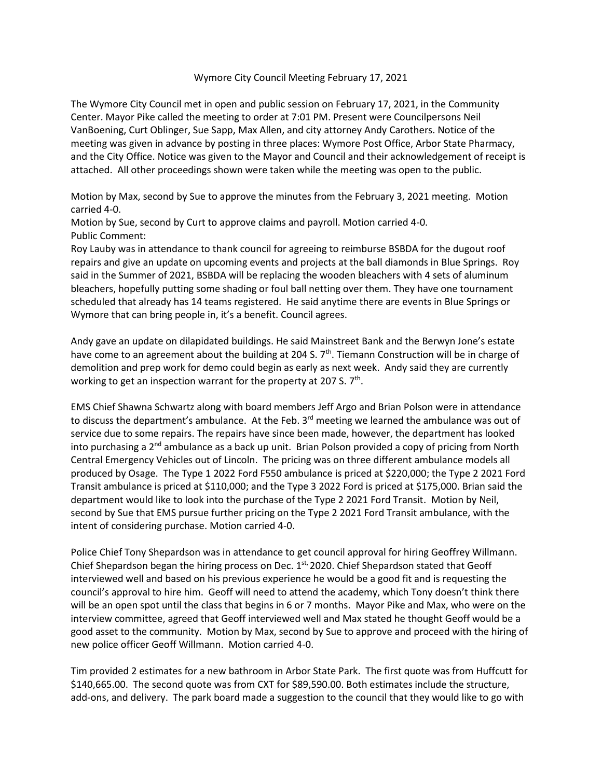## Wymore City Council Meeting February 17, 2021

The Wymore City Council met in open and public session on February 17, 2021, in the Community Center. Mayor Pike called the meeting to order at 7:01 PM. Present were Councilpersons Neil VanBoening, Curt Oblinger, Sue Sapp, Max Allen, and city attorney Andy Carothers. Notice of the meeting was given in advance by posting in three places: Wymore Post Office, Arbor State Pharmacy, and the City Office. Notice was given to the Mayor and Council and their acknowledgement of receipt is attached. All other proceedings shown were taken while the meeting was open to the public.

Motion by Max, second by Sue to approve the minutes from the February 3, 2021 meeting. Motion carried 4-0.

Motion by Sue, second by Curt to approve claims and payroll. Motion carried 4-0. Public Comment:

Roy Lauby was in attendance to thank council for agreeing to reimburse BSBDA for the dugout roof repairs and give an update on upcoming events and projects at the ball diamonds in Blue Springs. Roy said in the Summer of 2021, BSBDA will be replacing the wooden bleachers with 4 sets of aluminum bleachers, hopefully putting some shading or foul ball netting over them. They have one tournament scheduled that already has 14 teams registered. He said anytime there are events in Blue Springs or Wymore that can bring people in, it's a benefit. Council agrees.

Andy gave an update on dilapidated buildings. He said Mainstreet Bank and the Berwyn Jone's estate have come to an agreement about the building at 204 S. 7<sup>th</sup>. Tiemann Construction will be in charge of demolition and prep work for demo could begin as early as next week. Andy said they are currently working to get an inspection warrant for the property at 207 S.  $7<sup>th</sup>$ .

EMS Chief Shawna Schwartz along with board members Jeff Argo and Brian Polson were in attendance to discuss the department's ambulance. At the Feb. 3<sup>rd</sup> meeting we learned the ambulance was out of service due to some repairs. The repairs have since been made, however, the department has looked into purchasing a  $2<sup>nd</sup>$  ambulance as a back up unit. Brian Polson provided a copy of pricing from North Central Emergency Vehicles out of Lincoln. The pricing was on three different ambulance models all produced by Osage. The Type 1 2022 Ford F550 ambulance is priced at \$220,000; the Type 2 2021 Ford Transit ambulance is priced at \$110,000; and the Type 3 2022 Ford is priced at \$175,000. Brian said the department would like to look into the purchase of the Type 2 2021 Ford Transit. Motion by Neil, second by Sue that EMS pursue further pricing on the Type 2 2021 Ford Transit ambulance, with the intent of considering purchase. Motion carried 4-0.

Police Chief Tony Shepardson was in attendance to get council approval for hiring Geoffrey Willmann. Chief Shepardson began the hiring process on Dec.  $1<sup>st</sup>$  2020. Chief Shepardson stated that Geoff interviewed well and based on his previous experience he would be a good fit and is requesting the council's approval to hire him. Geoff will need to attend the academy, which Tony doesn't think there will be an open spot until the class that begins in 6 or 7 months. Mayor Pike and Max, who were on the interview committee, agreed that Geoff interviewed well and Max stated he thought Geoff would be a good asset to the community. Motion by Max, second by Sue to approve and proceed with the hiring of new police officer Geoff Willmann. Motion carried 4-0.

Tim provided 2 estimates for a new bathroom in Arbor State Park. The first quote was from Huffcutt for \$140,665.00. The second quote was from CXT for \$89,590.00. Both estimates include the structure, add-ons, and delivery. The park board made a suggestion to the council that they would like to go with